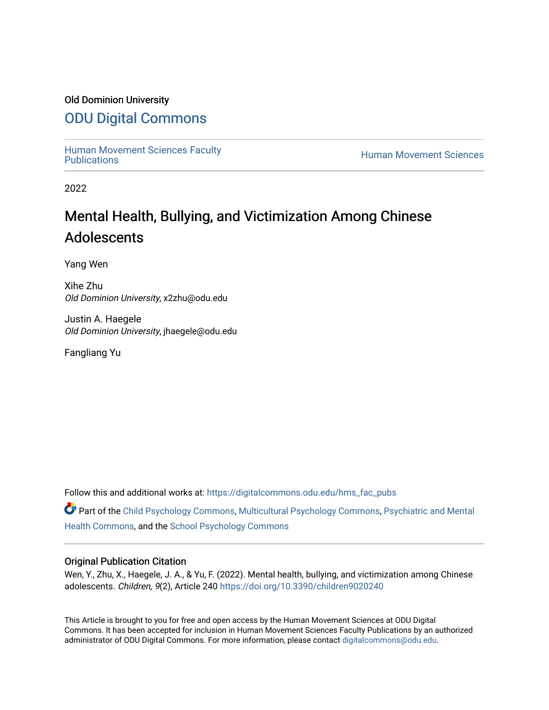## Old Dominion University

## [ODU Digital Commons](https://digitalcommons.odu.edu/)

[Human Movement Sciences Faculty](https://digitalcommons.odu.edu/hms_fac_pubs)<br>Publications

**Human Movement Sciences** 

2022

# Mental Health, Bullying, and Victimization Among Chinese Adolescents

Yang Wen

Xihe Zhu Old Dominion University, x2zhu@odu.edu

Justin A. Haegele Old Dominion University, jhaegele@odu.edu

Fangliang Yu

Follow this and additional works at: [https://digitalcommons.odu.edu/hms\\_fac\\_pubs](https://digitalcommons.odu.edu/hms_fac_pubs?utm_source=digitalcommons.odu.edu%2Fhms_fac_pubs%2F122&utm_medium=PDF&utm_campaign=PDFCoverPages) 

Part of the [Child Psychology Commons,](http://network.bepress.com/hgg/discipline/1023?utm_source=digitalcommons.odu.edu%2Fhms_fac_pubs%2F122&utm_medium=PDF&utm_campaign=PDFCoverPages) [Multicultural Psychology Commons,](http://network.bepress.com/hgg/discipline/1237?utm_source=digitalcommons.odu.edu%2Fhms_fac_pubs%2F122&utm_medium=PDF&utm_campaign=PDFCoverPages) [Psychiatric and Mental](http://network.bepress.com/hgg/discipline/711?utm_source=digitalcommons.odu.edu%2Fhms_fac_pubs%2F122&utm_medium=PDF&utm_campaign=PDFCoverPages)  [Health Commons,](http://network.bepress.com/hgg/discipline/711?utm_source=digitalcommons.odu.edu%2Fhms_fac_pubs%2F122&utm_medium=PDF&utm_campaign=PDFCoverPages) and the [School Psychology Commons](http://network.bepress.com/hgg/discipline/1072?utm_source=digitalcommons.odu.edu%2Fhms_fac_pubs%2F122&utm_medium=PDF&utm_campaign=PDFCoverPages)

### Original Publication Citation

Wen, Y., Zhu, X., Haegele, J. A., & Yu, F. (2022). Mental health, bullying, and victimization among Chinese adolescents. Children, 9(2), Article 240<https://doi.org/10.3390/children9020240>

This Article is brought to you for free and open access by the Human Movement Sciences at ODU Digital Commons. It has been accepted for inclusion in Human Movement Sciences Faculty Publications by an authorized administrator of ODU Digital Commons. For more information, please contact [digitalcommons@odu.edu](mailto:digitalcommons@odu.edu).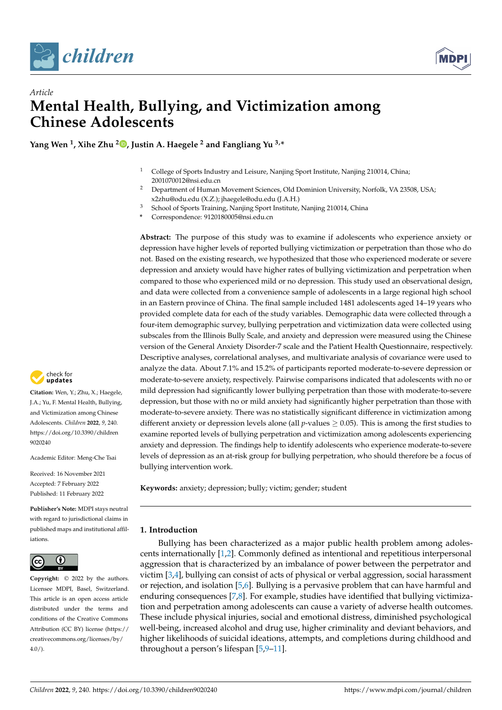



# *Article* **Mental Health, Bullying, and Victimization among Chinese Adolescents**

**Yang Wen <sup>1</sup> , Xihe Zhu <sup>2</sup> [,](https://orcid.org/0000-0002-5048-3464) Justin A. Haegele <sup>2</sup> and Fangliang Yu 3,\***

- <sup>1</sup> College of Sports Industry and Leisure, Nanjing Sport Institute, Nanjing 210014, China; 2001070012@nsi.edu.cn
- <sup>2</sup> Department of Human Movement Sciences, Old Dominion University, Norfolk, VA 23508, USA; x2zhu@odu.edu (X.Z.); jhaegele@odu.edu (J.A.H.)
- <sup>3</sup> School of Sports Training, Nanjing Sport Institute, Nanjing 210014, China
- **\*** Correspondence: 9120180005@nsi.edu.cn

**Abstract:** The purpose of this study was to examine if adolescents who experience anxiety or depression have higher levels of reported bullying victimization or perpetration than those who do not. Based on the existing research, we hypothesized that those who experienced moderate or severe depression and anxiety would have higher rates of bullying victimization and perpetration when compared to those who experienced mild or no depression. This study used an observational design, and data were collected from a convenience sample of adolescents in a large regional high school in an Eastern province of China. The final sample included 1481 adolescents aged 14–19 years who provided complete data for each of the study variables. Demographic data were collected through a four-item demographic survey, bullying perpetration and victimization data were collected using subscales from the Illinois Bully Scale, and anxiety and depression were measured using the Chinese version of the General Anxiety Disorder-7 scale and the Patient Health Questionnaire, respectively. Descriptive analyses, correlational analyses, and multivariate analysis of covariance were used to analyze the data. About 7.1% and 15.2% of participants reported moderate-to-severe depression or moderate-to-severe anxiety, respectively. Pairwise comparisons indicated that adolescents with no or mild depression had significantly lower bullying perpetration than those with moderate-to-severe depression, but those with no or mild anxiety had significantly higher perpetration than those with moderate-to-severe anxiety. There was no statistically significant difference in victimization among different anxiety or depression levels alone (all *p*-values ≥ 0.05). This is among the first studies to examine reported levels of bullying perpetration and victimization among adolescents experiencing anxiety and depression. The findings help to identify adolescents who experience moderate-to-severe levels of depression as an at-risk group for bullying perpetration, who should therefore be a focus of bullying intervention work.

**Keywords:** anxiety; depression; bully; victim; gender; student

#### **1. Introduction**

Bullying has been characterized as a major public health problem among adolescents internationally [\[1,](#page-8-0)[2\]](#page-8-1). Commonly defined as intentional and repetitious interpersonal aggression that is characterized by an imbalance of power between the perpetrator and victim [\[3](#page-8-2)[,4\]](#page-8-3), bullying can consist of acts of physical or verbal aggression, social harassment or rejection, and isolation [\[5](#page-8-4)[,6\]](#page-8-5). Bullying is a pervasive problem that can have harmful and enduring consequences [\[7,](#page-8-6)[8\]](#page-8-7). For example, studies have identified that bullying victimization and perpetration among adolescents can cause a variety of adverse health outcomes. These include physical injuries, social and emotional distress, diminished psychological well-being, increased alcohol and drug use, higher criminality and deviant behaviors, and higher likelihoods of suicidal ideations, attempts, and completions during childhood and throughout a person's lifespan [\[5](#page-8-4)[,9](#page-8-8)[–11\]](#page-8-9).



**Citation:** Wen, Y.; Zhu, X.; Haegele, J.A.; Yu, F. Mental Health, Bullying, and Victimization among Chinese Adolescents. *Children* **2022**, *9*, 240. [https://doi.org/10.3390/children](https://doi.org/10.3390/children9020240) [9020240](https://doi.org/10.3390/children9020240)

Academic Editor: Meng-Che Tsai

Received: 16 November 2021 Accepted: 7 February 2022 Published: 11 February 2022

**Publisher's Note:** MDPI stays neutral with regard to jurisdictional claims in published maps and institutional affiliations.



**Copyright:** © 2022 by the authors. Licensee MDPI, Basel, Switzerland. This article is an open access article distributed under the terms and conditions of the Creative Commons Attribution (CC BY) license [\(https://](https://creativecommons.org/licenses/by/4.0/) [creativecommons.org/licenses/by/](https://creativecommons.org/licenses/by/4.0/)  $4.0/$ ).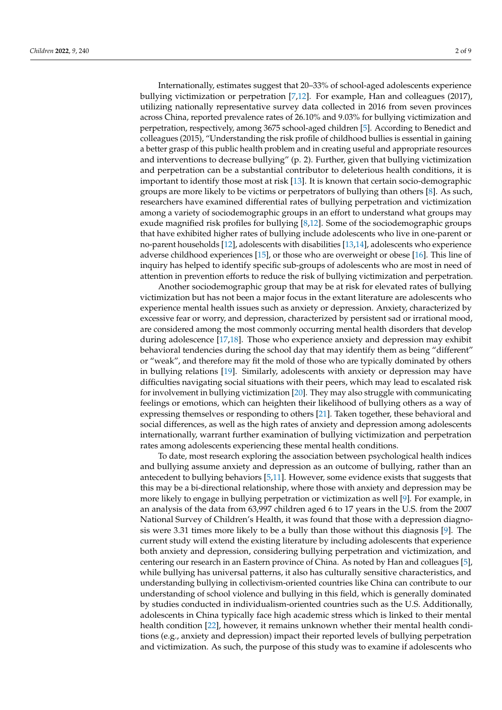Internationally, estimates suggest that 20–33% of school-aged adolescents experience bullying victimization or perpetration [\[7](#page-8-6)[,12\]](#page-8-10). For example, Han and colleagues (2017), utilizing nationally representative survey data collected in 2016 from seven provinces across China, reported prevalence rates of 26.10% and 9.03% for bullying victimization and perpetration, respectively, among 3675 school-aged children [\[5\]](#page-8-4). According to Benedict and colleagues (2015), "Understanding the risk profile of childhood bullies is essential in gaining a better grasp of this public health problem and in creating useful and appropriate resources and interventions to decrease bullying" (p. 2). Further, given that bullying victimization and perpetration can be a substantial contributor to deleterious health conditions, it is important to identify those most at risk [\[13\]](#page-8-11). It is known that certain socio-demographic groups are more likely to be victims or perpetrators of bullying than others [\[8\]](#page-8-7). As such, researchers have examined differential rates of bullying perpetration and victimization among a variety of sociodemographic groups in an effort to understand what groups may exude magnified risk profiles for bullying [\[8,](#page-8-7)[12\]](#page-8-10). Some of the sociodemographic groups that have exhibited higher rates of bullying include adolescents who live in one-parent or no-parent households [\[12\]](#page-8-10), adolescents with disabilities [\[13](#page-8-11)[,14\]](#page-8-12), adolescents who experience adverse childhood experiences [\[15\]](#page-8-13), or those who are overweight or obese [\[16\]](#page-8-14). This line of inquiry has helped to identify specific sub-groups of adolescents who are most in need of attention in prevention efforts to reduce the risk of bullying victimization and perpetration.

Another sociodemographic group that may be at risk for elevated rates of bullying victimization but has not been a major focus in the extant literature are adolescents who experience mental health issues such as anxiety or depression. Anxiety, characterized by excessive fear or worry, and depression, characterized by persistent sad or irrational mood, are considered among the most commonly occurring mental health disorders that develop during adolescence [\[17](#page-8-15)[,18\]](#page-8-16). Those who experience anxiety and depression may exhibit behavioral tendencies during the school day that may identify them as being "different" or "weak", and therefore may fit the mold of those who are typically dominated by others in bullying relations [\[19\]](#page-8-17). Similarly, adolescents with anxiety or depression may have difficulties navigating social situations with their peers, which may lead to escalated risk for involvement in bullying victimization [\[20\]](#page-9-0). They may also struggle with communicating feelings or emotions, which can heighten their likelihood of bullying others as a way of expressing themselves or responding to others [\[21\]](#page-9-1). Taken together, these behavioral and social differences, as well as the high rates of anxiety and depression among adolescents internationally, warrant further examination of bullying victimization and perpetration rates among adolescents experiencing these mental health conditions.

To date, most research exploring the association between psychological health indices and bullying assume anxiety and depression as an outcome of bullying, rather than an antecedent to bullying behaviors [\[5,](#page-8-4)[11\]](#page-8-9). However, some evidence exists that suggests that this may be a bi-directional relationship, where those with anxiety and depression may be more likely to engage in bullying perpetration or victimization as well [\[9\]](#page-8-8). For example, in an analysis of the data from 63,997 children aged 6 to 17 years in the U.S. from the 2007 National Survey of Children's Health, it was found that those with a depression diagnosis were 3.31 times more likely to be a bully than those without this diagnosis [\[9\]](#page-8-8). The current study will extend the existing literature by including adolescents that experience both anxiety and depression, considering bullying perpetration and victimization, and centering our research in an Eastern province of China. As noted by Han and colleagues [\[5\]](#page-8-4), while bullying has universal patterns, it also has culturally sensitive characteristics, and understanding bullying in collectivism-oriented countries like China can contribute to our understanding of school violence and bullying in this field, which is generally dominated by studies conducted in individualism-oriented countries such as the U.S. Additionally, adolescents in China typically face high academic stress which is linked to their mental health condition [\[22\]](#page-9-2), however, it remains unknown whether their mental health conditions (e.g., anxiety and depression) impact their reported levels of bullying perpetration and victimization. As such, the purpose of this study was to examine if adolescents who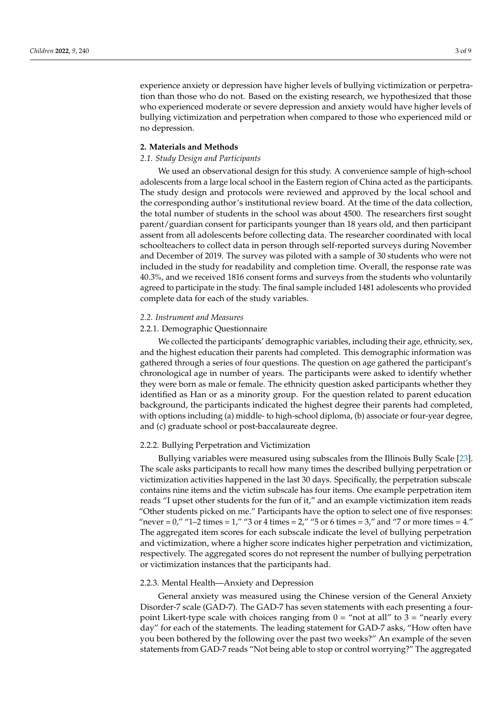experience anxiety or depression have higher levels of bullying victimization or perpetration than those who do not. Based on the existing research, we hypothesized that those who experienced moderate or severe depression and anxiety would have higher levels of bullying victimization and perpetration when compared to those who experienced mild or no depression.

#### **2. Materials and Methods**

#### *2.1. Study Design and Participants*

We used an observational design for this study. A convenience sample of high-school adolescents from a large local school in the Eastern region of China acted as the participants. The study design and protocols were reviewed and approved by the local school and the corresponding author's institutional review board. At the time of the data collection, the total number of students in the school was about 4500. The researchers first sought parent/guardian consent for participants younger than 18 years old, and then participant assent from all adolescents before collecting data. The researcher coordinated with local schoolteachers to collect data in person through self-reported surveys during November and December of 2019. The survey was piloted with a sample of 30 students who were not included in the study for readability and completion time. Overall, the response rate was 40.3%, and we received 1816 consent forms and surveys from the students who voluntarily agreed to participate in the study. The final sample included 1481 adolescents who provided complete data for each of the study variables.

#### *2.2. Instrument and Measures*

#### 2.2.1. Demographic Questionnaire

We collected the participants' demographic variables, including their age, ethnicity, sex, and the highest education their parents had completed. This demographic information was gathered through a series of four questions. The question on age gathered the participant's chronological age in number of years. The participants were asked to identify whether they were born as male or female. The ethnicity question asked participants whether they identified as Han or as a minority group. For the question related to parent education background, the participants indicated the highest degree their parents had completed, with options including (a) middle- to high-school diploma, (b) associate or four-year degree, and (c) graduate school or post-baccalaureate degree.

#### 2.2.2. Bullying Perpetration and Victimization

Bullying variables were measured using subscales from the Illinois Bully Scale [\[23\]](#page-9-3). The scale asks participants to recall how many times the described bullying perpetration or victimization activities happened in the last 30 days. Specifically, the perpetration subscale contains nine items and the victim subscale has four items. One example perpetration item reads "I upset other students for the fun of it," and an example victimization item reads "Other students picked on me." Participants have the option to select one of five responses: "never =  $0$ ," " $1-2$  times =  $1$ ," " $3$  or  $4$  times =  $2$ ," " $5$  or  $6$  times =  $3$ ," and " $7$  or more times =  $4$ ." The aggregated item scores for each subscale indicate the level of bullying perpetration and victimization, where a higher score indicates higher perpetration and victimization, respectively. The aggregated scores do not represent the number of bullying perpetration or victimization instances that the participants had.

#### 2.2.3. Mental Health—Anxiety and Depression

General anxiety was measured using the Chinese version of the General Anxiety Disorder-7 scale (GAD-7). The GAD-7 has seven statements with each presenting a fourpoint Likert-type scale with choices ranging from  $0 =$  "not at all" to  $3 =$  "nearly every day" for each of the statements. The leading statement for GAD-7 asks, "How often have you been bothered by the following over the past two weeks?" An example of the seven statements from GAD-7 reads "Not being able to stop or control worrying?" The aggregated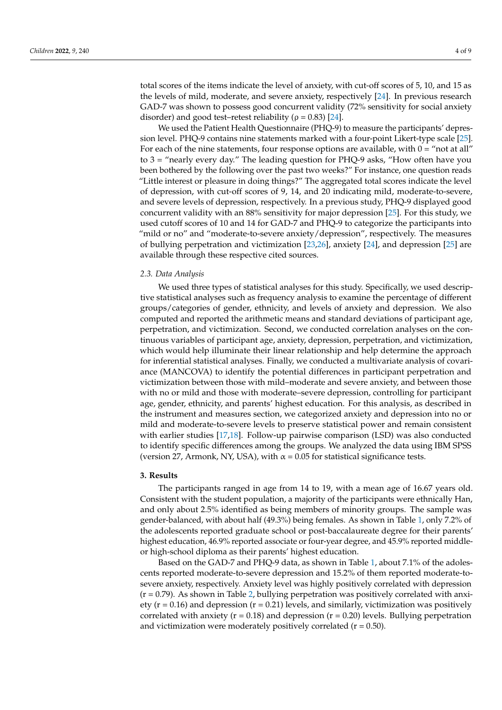total scores of the items indicate the level of anxiety, with cut-off scores of 5, 10, and 15 as the levels of mild, moderate, and severe anxiety, respectively [\[24\]](#page-9-4). In previous research GAD-7 was shown to possess good concurrent validity (72% sensitivity for social anxiety disorder) and good test–retest reliability ( $\rho = 0.83$ ) [\[24\]](#page-9-4).

We used the Patient Health Questionnaire (PHQ-9) to measure the participants' depression level. PHQ-9 contains nine statements marked with a four-point Likert-type scale [\[25\]](#page-9-5). For each of the nine statements, four response options are available, with  $0 =$  "not at all" to 3 = "nearly every day." The leading question for PHQ-9 asks, "How often have you been bothered by the following over the past two weeks?" For instance, one question reads "Little interest or pleasure in doing things?" The aggregated total scores indicate the level of depression, with cut-off scores of 9, 14, and 20 indicating mild, moderate-to-severe, and severe levels of depression, respectively. In a previous study, PHQ-9 displayed good concurrent validity with an 88% sensitivity for major depression [\[25\]](#page-9-5). For this study, we used cutoff scores of 10 and 14 for GAD-7 and PHQ-9 to categorize the participants into "mild or no" and "moderate-to-severe anxiety/depression", respectively. The measures of bullying perpetration and victimization [\[23](#page-9-3)[,26\]](#page-9-6), anxiety [\[24\]](#page-9-4), and depression [\[25\]](#page-9-5) are available through these respective cited sources.

#### *2.3. Data Analysis*

We used three types of statistical analyses for this study. Specifically, we used descriptive statistical analyses such as frequency analysis to examine the percentage of different groups/categories of gender, ethnicity, and levels of anxiety and depression. We also computed and reported the arithmetic means and standard deviations of participant age, perpetration, and victimization. Second, we conducted correlation analyses on the continuous variables of participant age, anxiety, depression, perpetration, and victimization, which would help illuminate their linear relationship and help determine the approach for inferential statistical analyses. Finally, we conducted a multivariate analysis of covariance (MANCOVA) to identify the potential differences in participant perpetration and victimization between those with mild–moderate and severe anxiety, and between those with no or mild and those with moderate–severe depression, controlling for participant age, gender, ethnicity, and parents' highest education. For this analysis, as described in the instrument and measures section, we categorized anxiety and depression into no or mild and moderate-to-severe levels to preserve statistical power and remain consistent with earlier studies [\[17,](#page-8-15)[18\]](#page-8-16). Follow-up pairwise comparison (LSD) was also conducted to identify specific differences among the groups. We analyzed the data using IBM SPSS (version 27, Armonk, NY, USA), with  $\alpha$  = 0.05 for statistical significance tests.

#### **3. Results**

The participants ranged in age from 14 to 19, with a mean age of 16.67 years old. Consistent with the student population, a majority of the participants were ethnically Han, and only about 2.5% identified as being members of minority groups. The sample was gender-balanced, with about half (49.3%) being females. As shown in Table [1,](#page-5-0) only 7.2% of the adolescents reported graduate school or post-baccalaureate degree for their parents' highest education, 46.9% reported associate or four-year degree, and 45.9% reported middleor high-school diploma as their parents' highest education.

Based on the GAD-7 and PHQ-9 data, as shown in Table [1,](#page-5-0) about 7.1% of the adolescents reported moderate-to-severe depression and 15.2% of them reported moderate-tosevere anxiety, respectively. Anxiety level was highly positively correlated with depression  $(r = 0.79)$ . As shown in Table [2,](#page-5-1) bullying perpetration was positively correlated with anxiety ( $r = 0.16$ ) and depression ( $r = 0.21$ ) levels, and similarly, victimization was positively correlated with anxiety ( $r = 0.18$ ) and depression ( $r = 0.20$ ) levels. Bullying perpetration and victimization were moderately positively correlated  $(r = 0.50)$ .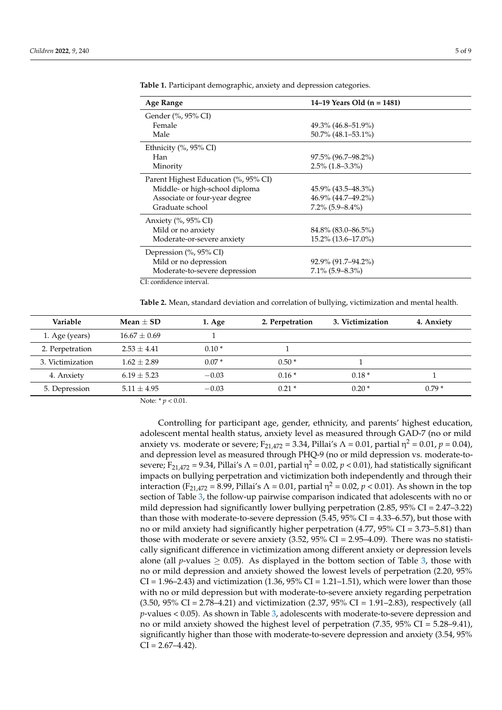| Age Range                            | 14–19 Years Old (n = 1481) |  |
|--------------------------------------|----------------------------|--|
| Gender (%, 95% CI)                   |                            |  |
| Female                               | $49.3\%$ (46.8–51.9%)      |  |
| Male                                 | 50.7% (48.1–53.1%)         |  |
| Ethnicity (%, 95% CI)                |                            |  |
| Han                                  | $97.5\%$ (96.7–98.2%)      |  |
| Minority                             | $2.5\%$ (1.8–3.3%)         |  |
| Parent Highest Education (%, 95% CI) |                            |  |
| Middle- or high-school diploma       | $45.9\%$ (43.5–48.3%)      |  |
| Associate or four-year degree        | 46.9% (44.7-49.2%)         |  |
| Graduate school                      | $7.2\%$ (5.9–8.4%)         |  |
| Anxiety $(\%$ , 95% CI)              |                            |  |
| Mild or no anxiety                   | $84.8\%$ (83.0–86.5%)      |  |
| Moderate-or-severe anxiety           | 15.2% (13.6–17.0%)         |  |
| Depression (%, 95% CI)               |                            |  |
| Mild or no depression                | 92.9% (91.7–94.2%)         |  |
| Moderate-to-severe depression        | $7.1\%$ (5.9–8.3%)         |  |
| CI: confidence interval.             |                            |  |

<span id="page-5-0"></span>**Table 1.** Participant demographic, anxiety and depression categories.

<span id="page-5-1"></span>**Table 2.** Mean, standard deviation and correlation of bullying, victimization and mental health.

| <b>Variable</b>  | Mean $+$ SD    | 1. Age  | 2. Perpetration | 3. Victimization | 4. Anxiety |
|------------------|----------------|---------|-----------------|------------------|------------|
| 1. Age (years)   | $16.67 + 0.69$ |         |                 |                  |            |
| 2. Perpetration  | $2.53 + 4.41$  | $0.10*$ |                 |                  |            |
| 3. Victimization | $1.62 + 2.89$  | $0.07*$ | $0.50*$         |                  |            |
| 4. Anxiety       | $6.19 + 5.23$  | $-0.03$ | $0.16*$         | $0.18*$          |            |
| 5. Depression    | $5.11 + 4.95$  | $-0.03$ | $0.21*$         | $0.20*$          | $0.79*$    |

Note: \* *p* < 0.01.

Controlling for participant age, gender, ethnicity, and parents' highest education, adolescent mental health status, anxiety level as measured through GAD-7 (no or mild anxiety vs. moderate or severe; F<sub>21,472</sub> = 3.34, Pillai's  $\Lambda$  = 0.01, partial  $\eta^2$  = 0.01,  $p$  = 0.04), and depression level as measured through PHQ-9 (no or mild depression vs. moderate-tosevere; F<sub>21,472</sub> = 9.34, Pillai's  $\Lambda$  = 0.01, partial  $\eta^2$  = 0.02,  $p$  < 0.01), had statistically significant impacts on bullying perpetration and victimization both independently and through their interaction (F<sub>21,472</sub> = 8.99, Pillai's  $\Lambda$  = 0.01, partial  $\eta^2$  = 0.02,  $p$  < 0.01). As shown in the top section of Table [3,](#page-6-0) the follow-up pairwise comparison indicated that adolescents with no or mild depression had significantly lower bullying perpetration  $(2.85, 95\% \text{ CI} = 2.47\text{--}3.22)$ than those with moderate-to-severe depression  $(5.45, 95\% \text{ CI} = 4.33\text{--}6.57)$ , but those with no or mild anxiety had significantly higher perpetration (4.77, 95% CI = 3.73–5.81) than those with moderate or severe anxiety  $(3.52, 95\% \text{ CI} = 2.95-4.09)$ . There was no statistically significant difference in victimization among different anxiety or depression levels alone (all *p*-values  $\geq$  0.05). As displayed in the bottom section of Table [3,](#page-6-0) those with no or mild depression and anxiety showed the lowest levels of perpetration (2.20, 95%  $CI = 1.96–2.43$ ) and victimization  $(1.36, 95\% CI = 1.21–1.51)$ , which were lower than those with no or mild depression but with moderate-to-severe anxiety regarding perpetration  $(3.50, 95\% \text{ CI} = 2.78 - 4.21)$  and victimization  $(2.37, 95\% \text{ CI} = 1.91 - 2.83)$ , respectively (all *p*-values < 0.05). As shown in Table [3,](#page-6-0) adolescents with moderate-to-severe depression and no or mild anxiety showed the highest level of perpetration (7.35, 95% CI = 5.28–9.41), significantly higher than those with moderate-to-severe depression and anxiety (3.54, 95%  $CI = 2.67 - 4.42$ .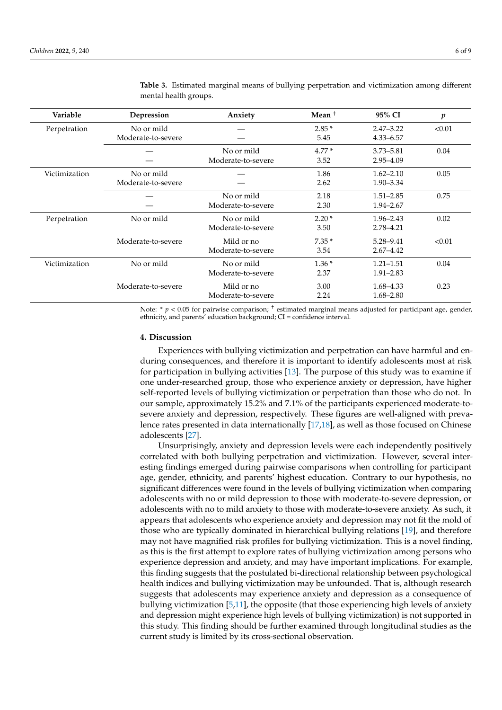| Variable      | Depression         | Anxiety            | Mean $+$ | 95% CI        | p      |
|---------------|--------------------|--------------------|----------|---------------|--------|
| Perpetration  | No or mild         |                    | $2.85*$  | $2.47 - 3.22$ | < 0.01 |
|               | Moderate-to-severe |                    | 5.45     | $4.33 - 6.57$ |        |
|               |                    | No or mild         | $4.77*$  | $3.73 - 5.81$ | 0.04   |
|               |                    | Moderate-to-severe | 3.52     | 2.95-4.09     |        |
| Victimization | No or mild         |                    | 1.86     | $1.62 - 2.10$ | 0.05   |
|               | Moderate-to-severe |                    | 2.62     | $1.90 - 3.34$ |        |
|               |                    | No or mild         | 2.18     | $1.51 - 2.85$ | 0.75   |
|               |                    | Moderate-to-severe | 2.30     | $1.94 - 2.67$ |        |
| Perpetration  | No or mild         | No or mild         | $2.20*$  | $1.96 - 2.43$ | 0.02   |
|               |                    | Moderate-to-severe | 3.50     | 2.78–4.21     |        |
|               | Moderate-to-severe | Mild or no         | $7.35*$  | 5.28–9.41     | < 0.01 |
|               |                    | Moderate-to-severe | 3.54     | $2.67 - 4.42$ |        |
| Victimization | No or mild         | No or mild         | $1.36*$  | $1.21 - 1.51$ | 0.04   |
|               |                    | Moderate-to-severe | 2.37     | $1.91 - 2.83$ |        |
|               | Moderate-to-severe | Mild or no         | 3.00     | $1.68 - 4.33$ | 0.23   |
|               |                    | Moderate-to-severe | 2.24     | $1.68 - 2.80$ |        |

<span id="page-6-0"></span>**Table 3.** Estimated marginal means of bullying perpetration and victimization among different mental health groups.

Note: \*  $p < 0.05$  for pairwise comparison; <sup>+</sup> estimated marginal means adjusted for participant age, gender, ethnicity, and parents' education background; CI = confidence interval.

#### **4. Discussion**

Experiences with bullying victimization and perpetration can have harmful and enduring consequences, and therefore it is important to identify adolescents most at risk for participation in bullying activities [\[13\]](#page-8-11). The purpose of this study was to examine if one under-researched group, those who experience anxiety or depression, have higher self-reported levels of bullying victimization or perpetration than those who do not. In our sample, approximately 15.2% and 7.1% of the participants experienced moderate-tosevere anxiety and depression, respectively. These figures are well-aligned with prevalence rates presented in data internationally [\[17](#page-8-15)[,18\]](#page-8-16), as well as those focused on Chinese adolescents [\[27\]](#page-9-7).

Unsurprisingly, anxiety and depression levels were each independently positively correlated with both bullying perpetration and victimization. However, several interesting findings emerged during pairwise comparisons when controlling for participant age, gender, ethnicity, and parents' highest education. Contrary to our hypothesis, no significant differences were found in the levels of bullying victimization when comparing adolescents with no or mild depression to those with moderate-to-severe depression, or adolescents with no to mild anxiety to those with moderate-to-severe anxiety. As such, it appears that adolescents who experience anxiety and depression may not fit the mold of those who are typically dominated in hierarchical bullying relations [\[19\]](#page-8-17), and therefore may not have magnified risk profiles for bullying victimization. This is a novel finding, as this is the first attempt to explore rates of bullying victimization among persons who experience depression and anxiety, and may have important implications. For example, this finding suggests that the postulated bi-directional relationship between psychological health indices and bullying victimization may be unfounded. That is, although research suggests that adolescents may experience anxiety and depression as a consequence of bullying victimization [\[5](#page-8-4)[,11\]](#page-8-9), the opposite (that those experiencing high levels of anxiety and depression might experience high levels of bullying victimization) is not supported in this study. This finding should be further examined through longitudinal studies as the current study is limited by its cross-sectional observation.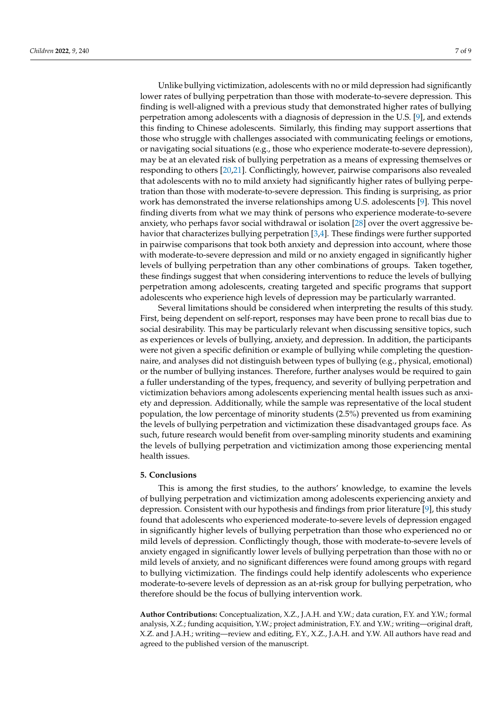Unlike bullying victimization, adolescents with no or mild depression had significantly lower rates of bullying perpetration than those with moderate-to-severe depression. This finding is well-aligned with a previous study that demonstrated higher rates of bullying perpetration among adolescents with a diagnosis of depression in the U.S. [\[9\]](#page-8-8), and extends this finding to Chinese adolescents. Similarly, this finding may support assertions that those who struggle with challenges associated with communicating feelings or emotions, or navigating social situations (e.g., those who experience moderate-to-severe depression), may be at an elevated risk of bullying perpetration as a means of expressing themselves or responding to others [\[20](#page-9-0)[,21\]](#page-9-1). Conflictingly, however, pairwise comparisons also revealed that adolescents with no to mild anxiety had significantly higher rates of bullying perpetration than those with moderate-to-severe depression. This finding is surprising, as prior work has demonstrated the inverse relationships among U.S. adolescents [\[9\]](#page-8-8). This novel finding diverts from what we may think of persons who experience moderate-to-severe anxiety, who perhaps favor social withdrawal or isolation [\[28\]](#page-9-8) over the overt aggressive behavior that characterizes bullying perpetration [\[3,](#page-8-2)[4\]](#page-8-3). These findings were further supported in pairwise comparisons that took both anxiety and depression into account, where those with moderate-to-severe depression and mild or no anxiety engaged in significantly higher levels of bullying perpetration than any other combinations of groups. Taken together, these findings suggest that when considering interventions to reduce the levels of bullying perpetration among adolescents, creating targeted and specific programs that support adolescents who experience high levels of depression may be particularly warranted.

Several limitations should be considered when interpreting the results of this study. First, being dependent on self-report, responses may have been prone to recall bias due to social desirability. This may be particularly relevant when discussing sensitive topics, such as experiences or levels of bullying, anxiety, and depression. In addition, the participants were not given a specific definition or example of bullying while completing the questionnaire, and analyses did not distinguish between types of bullying (e.g., physical, emotional) or the number of bullying instances. Therefore, further analyses would be required to gain a fuller understanding of the types, frequency, and severity of bullying perpetration and victimization behaviors among adolescents experiencing mental health issues such as anxiety and depression. Additionally, while the sample was representative of the local student population, the low percentage of minority students (2.5%) prevented us from examining the levels of bullying perpetration and victimization these disadvantaged groups face. As such, future research would benefit from over-sampling minority students and examining the levels of bullying perpetration and victimization among those experiencing mental health issues.

#### **5. Conclusions**

This is among the first studies, to the authors' knowledge, to examine the levels of bullying perpetration and victimization among adolescents experiencing anxiety and depression. Consistent with our hypothesis and findings from prior literature [\[9\]](#page-8-8), this study found that adolescents who experienced moderate-to-severe levels of depression engaged in significantly higher levels of bullying perpetration than those who experienced no or mild levels of depression. Conflictingly though, those with moderate-to-severe levels of anxiety engaged in significantly lower levels of bullying perpetration than those with no or mild levels of anxiety, and no significant differences were found among groups with regard to bullying victimization. The findings could help identify adolescents who experience moderate-to-severe levels of depression as an at-risk group for bullying perpetration, who therefore should be the focus of bullying intervention work.

**Author Contributions:** Conceptualization, X.Z., J.A.H. and Y.W.; data curation, F.Y. and Y.W.; formal analysis, X.Z.; funding acquisition, Y.W.; project administration, F.Y. and Y.W.; writing—original draft, X.Z. and J.A.H.; writing—review and editing, F.Y., X.Z., J.A.H. and Y.W. All authors have read and agreed to the published version of the manuscript.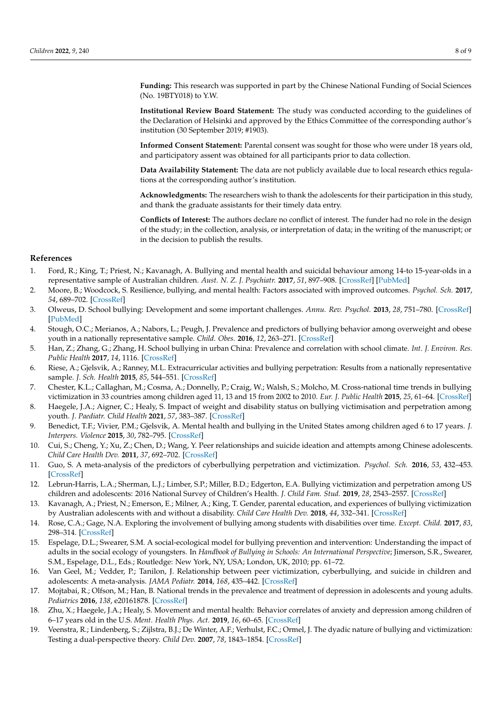**Funding:** This research was supported in part by the Chinese National Funding of Social Sciences (No. 19BTY018) to Y.W.

**Institutional Review Board Statement:** The study was conducted according to the guidelines of the Declaration of Helsinki and approved by the Ethics Committee of the corresponding author's institution (30 September 2019; #1903).

**Informed Consent Statement:** Parental consent was sought for those who were under 18 years old, and participatory assent was obtained for all participants prior to data collection.

**Data Availability Statement:** The data are not publicly available due to local research ethics regulations at the corresponding author's institution.

**Acknowledgments:** The researchers wish to thank the adolescents for their participation in this study, and thank the graduate assistants for their timely data entry.

**Conflicts of Interest:** The authors declare no conflict of interest. The funder had no role in the design of the study; in the collection, analysis, or interpretation of data; in the writing of the manuscript; or in the decision to publish the results.

#### **References**

- <span id="page-8-0"></span>1. Ford, R.; King, T.; Priest, N.; Kavanagh, A. Bullying and mental health and suicidal behaviour among 14-to 15-year-olds in a representative sample of Australian children. *Aust. N. Z. J. Psychiatr.* **2017**, *51*, 897–908. [\[CrossRef\]](http://doi.org/10.1177/0004867417700275) [\[PubMed\]](http://www.ncbi.nlm.nih.gov/pubmed/28387535)
- <span id="page-8-1"></span>2. Moore, B.; Woodcock, S. Resilience, bullying, and mental health: Factors associated with improved outcomes. *Psychol. Sch.* **2017**, *54*, 689–702. [\[CrossRef\]](http://doi.org/10.1002/pits.22028)
- <span id="page-8-2"></span>3. Olweus, D. School bullying: Development and some important challenges. *Annu. Rev. Psychol.* **2013**, *28*, 751–780. [\[CrossRef\]](http://doi.org/10.1146/annurev-clinpsy-050212-185516) [\[PubMed\]](http://www.ncbi.nlm.nih.gov/pubmed/23297789)
- <span id="page-8-3"></span>4. Stough, O.C.; Merianos, A.; Nabors, L.; Peugh, J. Prevalence and predictors of bullying behavior among overweight and obese youth in a nationally representative sample. *Child. Obes.* **2016**, *12*, 263–271. [\[CrossRef\]](http://doi.org/10.1089/chi.2015.0172)
- <span id="page-8-4"></span>5. Han, Z.; Zhang, G.; Zhang, H. School bullying in urban China: Prevalence and correlation with school climate. *Int. J. Environ. Res. Public Health* **2017**, *14*, 1116. [\[CrossRef\]](http://doi.org/10.3390/ijerph14101116)
- <span id="page-8-5"></span>6. Riese, A.; Gjelsvik, A.; Ranney, M.L. Extracurricular activities and bullying perpetration: Results from a nationally representative sample. *J. Sch. Health* **2015**, *85*, 544–551. [\[CrossRef\]](http://doi.org/10.1111/josh.12282)
- <span id="page-8-6"></span>7. Chester, K.L.; Callaghan, M.; Cosma, A.; Donnelly, P.; Craig, W.; Walsh, S.; Molcho, M. Cross-national time trends in bullying victimization in 33 countries among children aged 11, 13 and 15 from 2002 to 2010. *Eur. J. Public Health* **2015**, *25*, 61–64. [\[CrossRef\]](http://doi.org/10.1093/eurpub/ckv029)
- <span id="page-8-7"></span>8. Haegele, J.A.; Aigner, C.; Healy, S. Impact of weight and disability status on bullying victimisation and perpetration among youth. *J. Paediatr. Child Health* **2021**, *57*, 383–387. [\[CrossRef\]](http://doi.org/10.1111/jpc.15230)
- <span id="page-8-8"></span>9. Benedict, T.F.; Vivier, P.M.; Gjelsvik, A. Mental health and bullying in the United States among children aged 6 to 17 years. *J. Interpers. Violence* **2015**, *30*, 782–795. [\[CrossRef\]](http://doi.org/10.1177/0886260514536279)
- 10. Cui, S.; Cheng, Y.; Xu, Z.; Chen, D.; Wang, Y. Peer relationships and suicide ideation and attempts among Chinese adolescents. *Child Care Health Dev.* **2011**, *37*, 692–702. [\[CrossRef\]](http://doi.org/10.1111/j.1365-2214.2010.01181.x)
- <span id="page-8-9"></span>11. Guo, S. A meta-analysis of the predictors of cyberbullying perpetration and victimization. *Psychol. Sch.* **2016**, *53*, 432–453. [\[CrossRef\]](http://doi.org/10.1002/pits.21914)
- <span id="page-8-10"></span>12. Lebrun-Harris, L.A.; Sherman, L.J.; Limber, S.P.; Miller, B.D.; Edgerton, E.A. Bullying victimization and perpetration among US children and adolescents: 2016 National Survey of Children's Health. *J. Child Fam. Stud.* **2019**, *28*, 2543–2557. [\[CrossRef\]](http://doi.org/10.1007/s10826-018-1170-9)
- <span id="page-8-11"></span>13. Kavanagh, A.; Priest, N.; Emerson, E.; Milner, A.; King, T. Gender, parental education, and experiences of bullying victimization by Australian adolescents with and without a disability. *Child Care Health Dev.* **2018**, *44*, 332–341. [\[CrossRef\]](http://doi.org/10.1111/cch.12545)
- <span id="page-8-12"></span>14. Rose, C.A.; Gage, N.A. Exploring the involvement of bullying among students with disabilities over time. *Except. Child.* **2017**, *83*, 298–314. [\[CrossRef\]](http://doi.org/10.1177/0014402916667587)
- <span id="page-8-13"></span>15. Espelage, D.L.; Swearer, S.M. A social-ecological model for bullying prevention and intervention: Understanding the impact of adults in the social ecology of youngsters. In *Handbook of Bullying in Schools: An International Perspective*; Jimerson, S.R., Swearer, S.M., Espelage, D.L., Eds.; Routledge: New York, NY, USA; London, UK, 2010; pp. 61–72.
- <span id="page-8-14"></span>16. Van Geel, M.; Vedder, P.; Tanilon, J. Relationship between peer victimization, cyberbullying, and suicide in children and adolescents: A meta-analysis. *JAMA Pediatr.* **2014**, *168*, 435–442. [\[CrossRef\]](http://doi.org/10.1001/jamapediatrics.2013.4143)
- <span id="page-8-15"></span>17. Mojtabai, R.; Olfson, M.; Han, B. National trends in the prevalence and treatment of depression in adolescents and young adults. *Pediatrics* **2016**, *138*, e20161878. [\[CrossRef\]](http://doi.org/10.1542/peds.2016-1878)
- <span id="page-8-16"></span>18. Zhu, X.; Haegele, J.A.; Healy, S. Movement and mental health: Behavior correlates of anxiety and depression among children of 6–17 years old in the U.S. *Ment. Health Phys. Act.* **2019**, *16*, 60–65. [\[CrossRef\]](http://doi.org/10.1016/j.mhpa.2019.04.002)
- <span id="page-8-17"></span>19. Veenstra, R.; Lindenberg, S.; Zijlstra, B.J.; De Winter, A.F.; Verhulst, F.C.; Ormel, J. The dyadic nature of bullying and victimization: Testing a dual-perspective theory. *Child Dev.* **2007**, *78*, 1843–1854. [\[CrossRef\]](http://doi.org/10.1111/j.1467-8624.2007.01102.x)